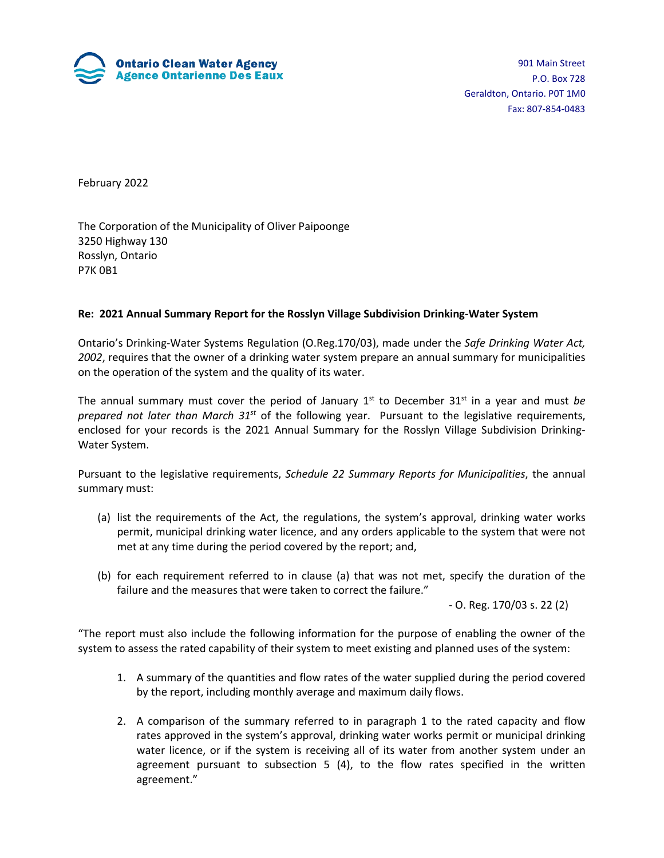

901 Main Street P.O. Box 728 Geraldton, Ontario. P0T 1M0 Fax: 807-854-0483

February 2022

The Corporation of the Municipality of Oliver Paipoonge 3250 Highway 130 Rosslyn, Ontario P7K 0B1

#### **Re: 2021 Annual Summary Report for the Rosslyn Village Subdivision Drinking-Water System**

Ontario's Drinking-Water Systems Regulation (O.Reg.170/03), made under the *Safe Drinking Water Act, 2002*, requires that the owner of a drinking water system prepare an annual summary for municipalities on the operation of the system and the quality of its water.

The annual summary must cover the period of January  $1<sup>st</sup>$  to December  $31<sup>st</sup>$  in a year and must *be prepared not later than March 31st* of the following year. Pursuant to the legislative requirements, enclosed for your records is the 2021 Annual Summary for the Rosslyn Village Subdivision Drinking-Water System.

Pursuant to the legislative requirements, *Schedule 22 Summary Reports for Municipalities*, the annual summary must:

- (a) list the requirements of the Act, the regulations, the system's approval, drinking water works permit, municipal drinking water licence, and any orders applicable to the system that were not met at any time during the period covered by the report; and,
- (b) for each requirement referred to in clause (a) that was not met, specify the duration of the failure and the measures that were taken to correct the failure."

- O. Reg. 170/03 s. 22 (2)

"The report must also include the following information for the purpose of enabling the owner of the system to assess the rated capability of their system to meet existing and planned uses of the system:

- 1. A summary of the quantities and flow rates of the water supplied during the period covered by the report, including monthly average and maximum daily flows.
- 2. A comparison of the summary referred to in paragraph 1 to the rated capacity and flow rates approved in the system's approval, drinking water works permit or municipal drinking water licence, or if the system is receiving all of its water from another system under an agreement pursuant to subsection 5 (4), to the flow rates specified in the written agreement."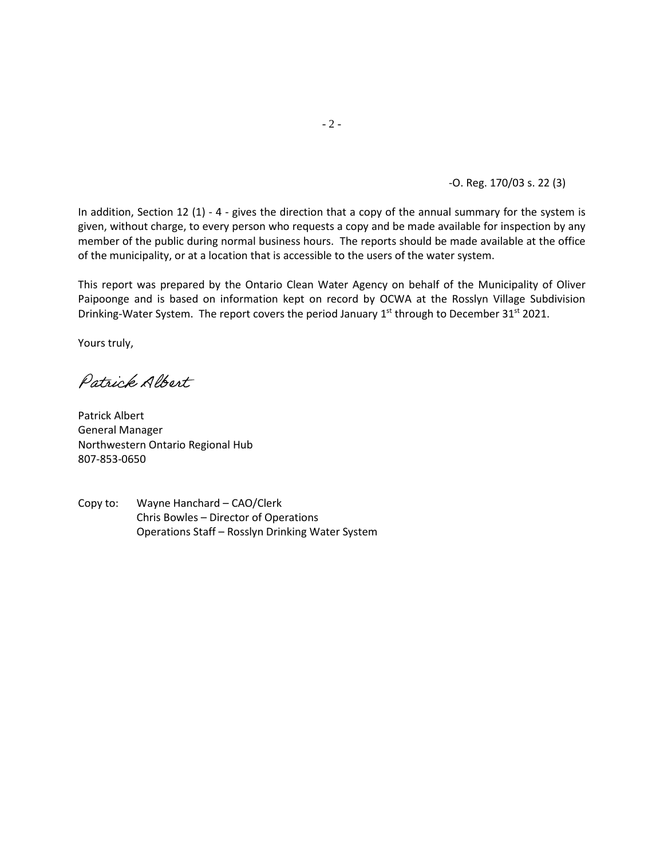-O. Reg. 170/03 s. 22 (3)

In addition, Section 12 (1) - 4 - gives the direction that a copy of the annual summary for the system is given, without charge, to every person who requests a copy and be made available for inspection by any member of the public during normal business hours. The reports should be made available at the office of the municipality, or at a location that is accessible to the users of the water system.

This report was prepared by the Ontario Clean Water Agency on behalf of the Municipality of Oliver Paipoonge and is based on information kept on record by OCWA at the Rosslyn Village Subdivision Drinking-Water System. The report covers the period January 1<sup>st</sup> through to December 31<sup>st</sup> 2021.

Yours truly,

Patrick Albert

Patrick Albert General Manager Northwestern Ontario Regional Hub 807-853-0650

Copy to: Wayne Hanchard – CAO/Clerk Chris Bowles – Director of Operations Operations Staff – Rosslyn Drinking Water System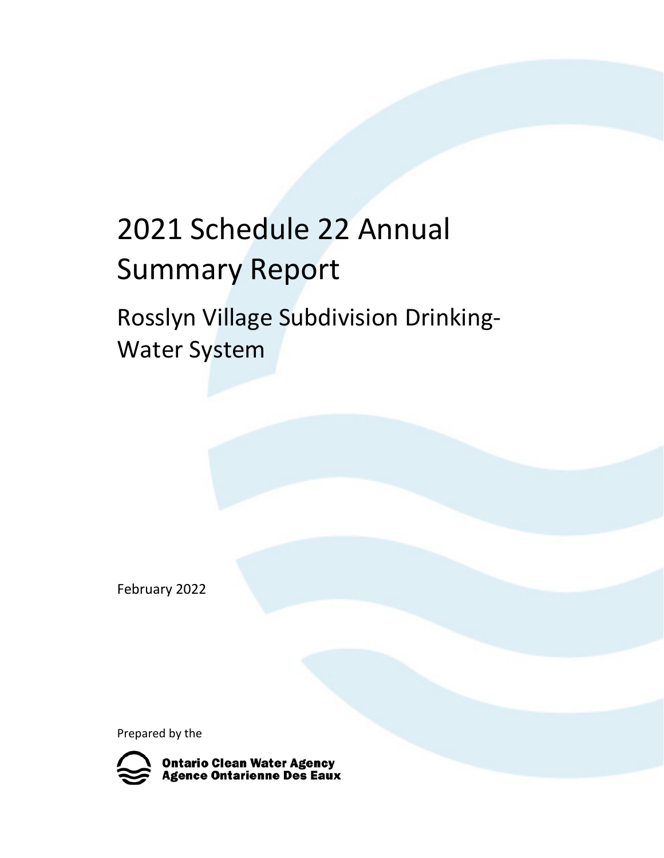# 2021 Schedule 22 Annual Summary Report

Rosslyn Village Subdivision Drinking-Water System

February 2022

Prepared by the

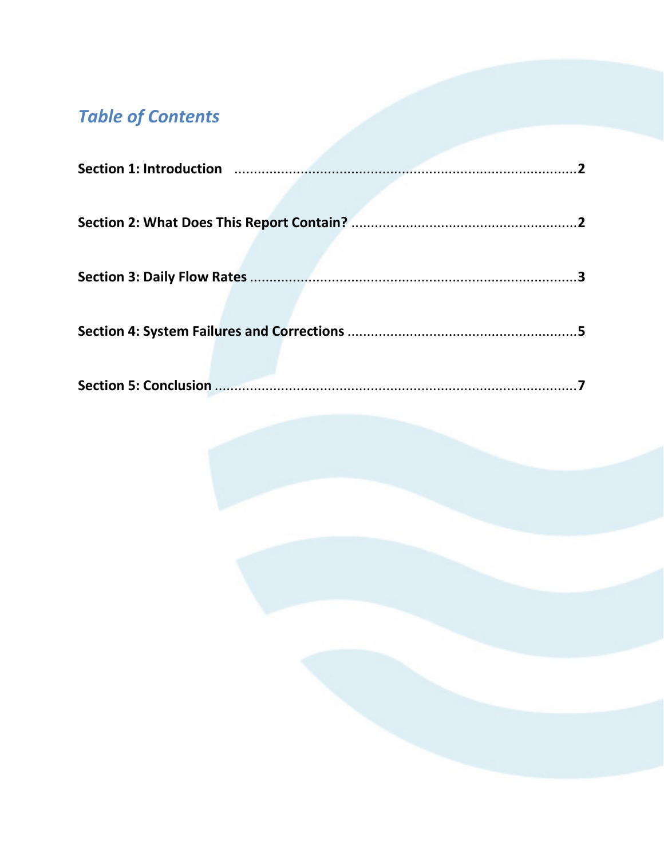# **Table of Contents**

| Section 1: Introduction manufactured and the section of the section of the section of the section of the section |
|------------------------------------------------------------------------------------------------------------------|
|                                                                                                                  |
|                                                                                                                  |
|                                                                                                                  |
|                                                                                                                  |
|                                                                                                                  |
|                                                                                                                  |
|                                                                                                                  |
|                                                                                                                  |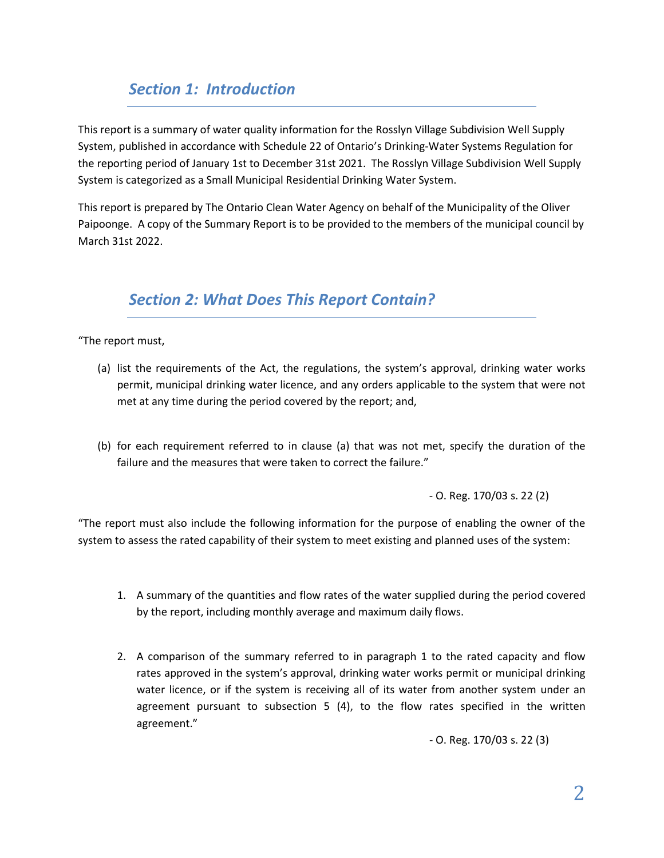### *Section 1: Introduction*

This report is a summary of water quality information for the Rosslyn Village Subdivision Well Supply System, published in accordance with Schedule 22 of Ontario's Drinking-Water Systems Regulation for the reporting period of January 1st to December 31st 2021. The Rosslyn Village Subdivision Well Supply System is categorized as a Small Municipal Residential Drinking Water System.

This report is prepared by The Ontario Clean Water Agency on behalf of the Municipality of the Oliver Paipoonge. A copy of the Summary Report is to be provided to the members of the municipal council by March 31st 2022.

#### *Section 2: What Does This Report Contain?*

"The report must,

- (a) list the requirements of the Act, the regulations, the system's approval, drinking water works permit, municipal drinking water licence, and any orders applicable to the system that were not met at any time during the period covered by the report; and,
- (b) for each requirement referred to in clause (a) that was not met, specify the duration of the failure and the measures that were taken to correct the failure."

- O. Reg. 170/03 s. 22 (2)

"The report must also include the following information for the purpose of enabling the owner of the system to assess the rated capability of their system to meet existing and planned uses of the system:

- 1. A summary of the quantities and flow rates of the water supplied during the period covered by the report, including monthly average and maximum daily flows.
- 2. A comparison of the summary referred to in paragraph 1 to the rated capacity and flow rates approved in the system's approval, drinking water works permit or municipal drinking water licence, or if the system is receiving all of its water from another system under an agreement pursuant to subsection 5 (4), to the flow rates specified in the written agreement."

- O. Reg. 170/03 s. 22 (3)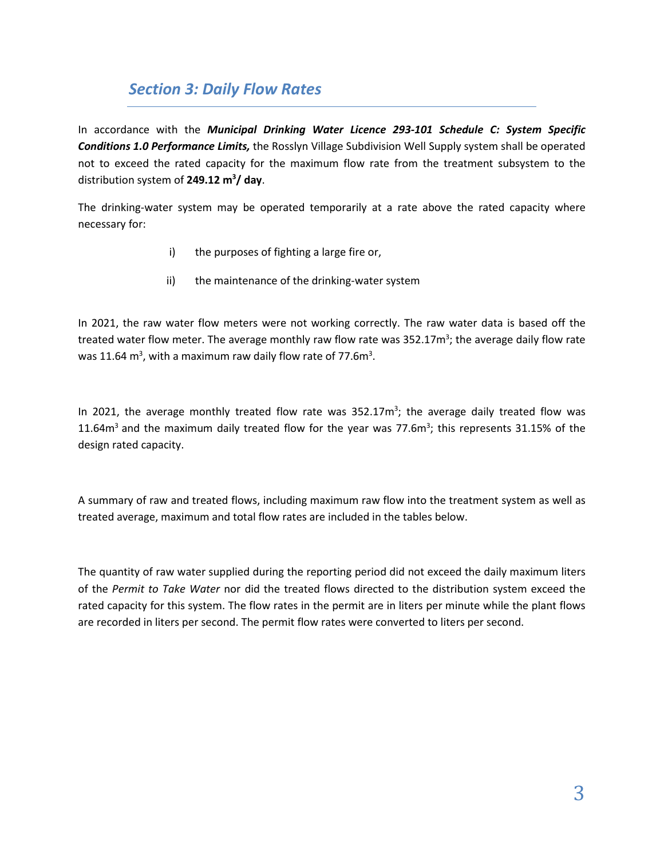#### *Section 3: Daily Flow Rates*

In accordance with the *Municipal Drinking Water Licence 293-101 Schedule C: System Specific Conditions 1.0 Performance Limits,* the Rosslyn Village Subdivision Well Supply system shall be operated not to exceed the rated capacity for the maximum flow rate from the treatment subsystem to the distribution system of **249.12 m3 / day**.

The drinking-water system may be operated temporarily at a rate above the rated capacity where necessary for:

- i) the purposes of fighting a large fire or,
- ii) the maintenance of the drinking-water system

In 2021, the raw water flow meters were not working correctly. The raw water data is based off the treated water flow meter. The average monthly raw flow rate was 352.17m<sup>3</sup>; the average daily flow rate was 11.64  $\text{m}^3$ , with a maximum raw daily flow rate of 77.6 $\text{m}^3$ .

In 2021, the average monthly treated flow rate was  $352.17m^3$ ; the average daily treated flow was 11.64 $m^3$  and the maximum daily treated flow for the year was 77.6 $m^3$ ; this represents 31.15% of the design rated capacity.

A summary of raw and treated flows, including maximum raw flow into the treatment system as well as treated average, maximum and total flow rates are included in the tables below.

The quantity of raw water supplied during the reporting period did not exceed the daily maximum liters of the *Permit to Take Water* nor did the treated flows directed to the distribution system exceed the rated capacity for this system. The flow rates in the permit are in liters per minute while the plant flows are recorded in liters per second. The permit flow rates were converted to liters per second.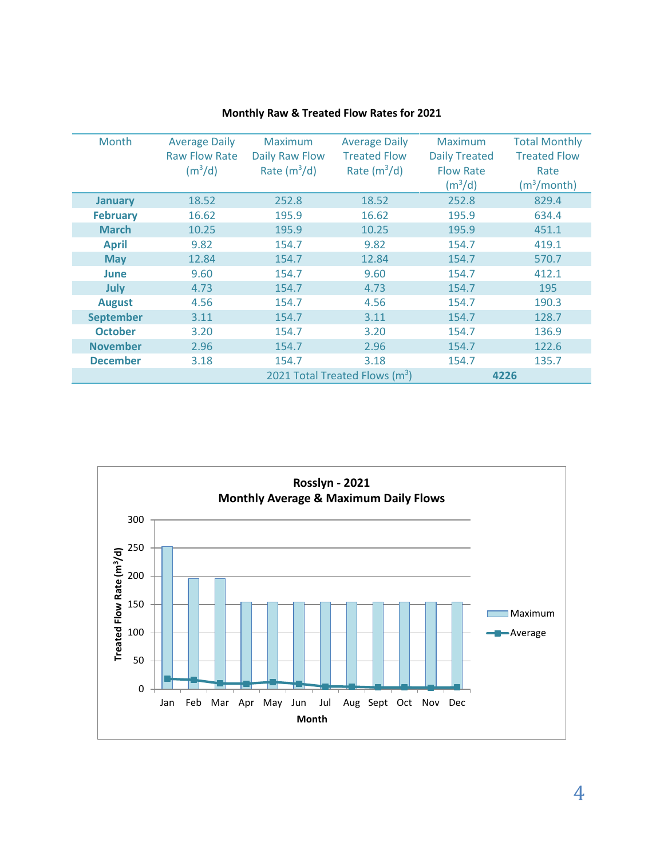| Month            | <b>Average Daily</b><br><b>Raw Flow Rate</b><br>(m <sup>3</sup> /d) | <b>Maximum</b><br><b>Daily Raw Flow</b><br>Rate $(m^3/d)$ | <b>Average Daily</b><br><b>Treated Flow</b><br>Rate $(m^3/d)$ | <b>Maximum</b><br><b>Daily Treated</b><br><b>Flow Rate</b><br>(m <sup>3</sup> /d) | <b>Total Monthly</b><br><b>Treated Flow</b><br>Rate<br>$(m^3/month)$ |
|------------------|---------------------------------------------------------------------|-----------------------------------------------------------|---------------------------------------------------------------|-----------------------------------------------------------------------------------|----------------------------------------------------------------------|
| <b>January</b>   | 18.52                                                               | 252.8                                                     | 18.52                                                         | 252.8                                                                             | 829.4                                                                |
| <b>February</b>  | 16.62                                                               | 195.9                                                     | 16.62                                                         | 195.9                                                                             | 634.4                                                                |
| <b>March</b>     | 10.25                                                               | 195.9                                                     | 10.25                                                         | 195.9                                                                             | 451.1                                                                |
| <b>April</b>     | 9.82                                                                | 154.7                                                     | 9.82                                                          | 154.7                                                                             | 419.1                                                                |
| <b>May</b>       | 12.84                                                               | 154.7                                                     | 12.84                                                         | 154.7                                                                             | 570.7                                                                |
| <b>June</b>      | 9.60                                                                | 154.7                                                     | 9.60                                                          | 154.7                                                                             | 412.1                                                                |
| July             | 4.73                                                                | 154.7                                                     | 4.73                                                          | 154.7                                                                             | 195                                                                  |
| <b>August</b>    | 4.56                                                                | 154.7                                                     | 4.56                                                          | 154.7                                                                             | 190.3                                                                |
| <b>September</b> | 3.11                                                                | 154.7                                                     | 3.11                                                          | 154.7                                                                             | 128.7                                                                |
| <b>October</b>   | 3.20                                                                | 154.7                                                     | 3.20                                                          | 154.7                                                                             | 136.9                                                                |
| <b>November</b>  | 2.96                                                                | 154.7                                                     | 2.96                                                          | 154.7                                                                             | 122.6                                                                |
| <b>December</b>  | 3.18                                                                | 154.7                                                     | 3.18                                                          | 154.7                                                                             | 135.7                                                                |
|                  |                                                                     |                                                           | 2021 Total Treated Flows $(m^3)$                              |                                                                                   | 4226                                                                 |

#### **Monthly Raw & Treated Flow Rates for 2021**

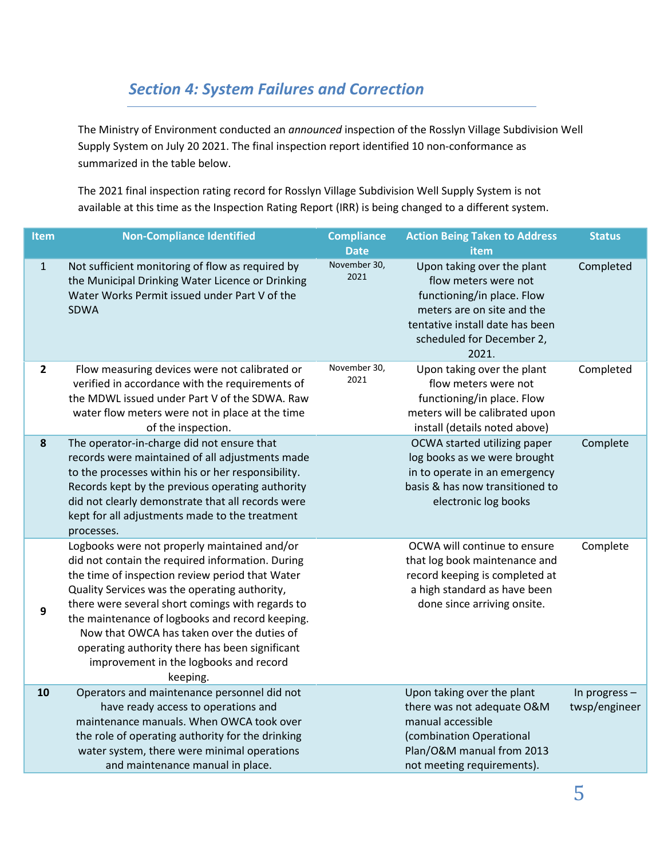## *Section 4: System Failures and Correction*

The Ministry of Environment conducted an *announced* inspection of the Rosslyn Village Subdivision Well Supply System on July 20 2021. The final inspection report identified 10 non-conformance as summarized in the table below.

The 2021 final inspection rating record for Rosslyn Village Subdivision Well Supply System is not available at this time as the Inspection Rating Report (IRR) is being changed to a different system.

| Item           | <b>Non-Compliance Identified</b>                                                                                                                                                                                                                                                                                                                                                                                                                                  | <b>Compliance</b><br><b>Date</b> | <b>Action Being Taken to Address</b><br>item                                                                                                                                            | <b>Status</b>                    |
|----------------|-------------------------------------------------------------------------------------------------------------------------------------------------------------------------------------------------------------------------------------------------------------------------------------------------------------------------------------------------------------------------------------------------------------------------------------------------------------------|----------------------------------|-----------------------------------------------------------------------------------------------------------------------------------------------------------------------------------------|----------------------------------|
| $\mathbf 1$    | Not sufficient monitoring of flow as required by<br>the Municipal Drinking Water Licence or Drinking<br>Water Works Permit issued under Part V of the<br><b>SDWA</b>                                                                                                                                                                                                                                                                                              | November 30,<br>2021             | Upon taking over the plant<br>flow meters were not<br>functioning/in place. Flow<br>meters are on site and the<br>tentative install date has been<br>scheduled for December 2,<br>2021. | Completed                        |
| $\overline{2}$ | Flow measuring devices were not calibrated or<br>verified in accordance with the requirements of<br>the MDWL issued under Part V of the SDWA. Raw<br>water flow meters were not in place at the time<br>of the inspection.                                                                                                                                                                                                                                        | November 30,<br>2021             | Upon taking over the plant<br>flow meters were not<br>functioning/in place. Flow<br>meters will be calibrated upon<br>install (details noted above)                                     | Completed                        |
| 8              | The operator-in-charge did not ensure that<br>records were maintained of all adjustments made<br>to the processes within his or her responsibility.<br>Records kept by the previous operating authority<br>did not clearly demonstrate that all records were<br>kept for all adjustments made to the treatment<br>processes.                                                                                                                                      |                                  | OCWA started utilizing paper<br>log books as we were brought<br>in to operate in an emergency<br>basis & has now transitioned to<br>electronic log books                                | Complete                         |
| 9              | Logbooks were not properly maintained and/or<br>did not contain the required information. During<br>the time of inspection review period that Water<br>Quality Services was the operating authority,<br>there were several short comings with regards to<br>the maintenance of logbooks and record keeping.<br>Now that OWCA has taken over the duties of<br>operating authority there has been significant<br>improvement in the logbooks and record<br>keeping. |                                  | OCWA will continue to ensure<br>that log book maintenance and<br>record keeping is completed at<br>a high standard as have been<br>done since arriving onsite.                          | Complete                         |
| 10             | Operators and maintenance personnel did not<br>have ready access to operations and<br>maintenance manuals. When OWCA took over<br>the role of operating authority for the drinking<br>water system, there were minimal operations<br>and maintenance manual in place.                                                                                                                                                                                             |                                  | Upon taking over the plant<br>there was not adequate O&M<br>manual accessible<br>(combination Operational<br>Plan/O&M manual from 2013<br>not meeting requirements).                    | In progress $-$<br>twsp/engineer |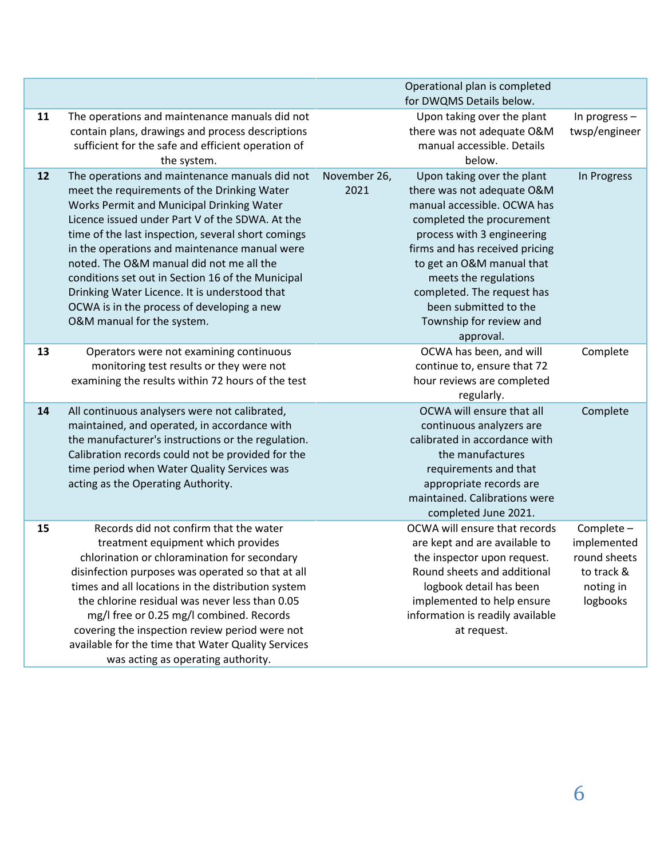|    |                                                                                                                                                                                                                                                                                                                                                                                                                                                                                                                                    |                      | Operational plan is completed<br>for DWQMS Details below.                                                                                                                                                                                                                                                                                 |                                                                                  |
|----|------------------------------------------------------------------------------------------------------------------------------------------------------------------------------------------------------------------------------------------------------------------------------------------------------------------------------------------------------------------------------------------------------------------------------------------------------------------------------------------------------------------------------------|----------------------|-------------------------------------------------------------------------------------------------------------------------------------------------------------------------------------------------------------------------------------------------------------------------------------------------------------------------------------------|----------------------------------------------------------------------------------|
| 11 | The operations and maintenance manuals did not<br>contain plans, drawings and process descriptions<br>sufficient for the safe and efficient operation of<br>the system.                                                                                                                                                                                                                                                                                                                                                            |                      | Upon taking over the plant<br>there was not adequate O&M<br>manual accessible. Details<br>below.                                                                                                                                                                                                                                          | In progress -<br>twsp/engineer                                                   |
| 12 | The operations and maintenance manuals did not<br>meet the requirements of the Drinking Water<br>Works Permit and Municipal Drinking Water<br>Licence issued under Part V of the SDWA. At the<br>time of the last inspection, several short comings<br>in the operations and maintenance manual were<br>noted. The O&M manual did not me all the<br>conditions set out in Section 16 of the Municipal<br>Drinking Water Licence. It is understood that<br>OCWA is in the process of developing a new<br>O&M manual for the system. | November 26,<br>2021 | Upon taking over the plant<br>there was not adequate O&M<br>manual accessible. OCWA has<br>completed the procurement<br>process with 3 engineering<br>firms and has received pricing<br>to get an O&M manual that<br>meets the regulations<br>completed. The request has<br>been submitted to the<br>Township for review and<br>approval. | In Progress                                                                      |
| 13 | Operators were not examining continuous<br>monitoring test results or they were not<br>examining the results within 72 hours of the test                                                                                                                                                                                                                                                                                                                                                                                           |                      | OCWA has been, and will<br>continue to, ensure that 72<br>hour reviews are completed<br>regularly.                                                                                                                                                                                                                                        | Complete                                                                         |
| 14 | All continuous analysers were not calibrated,<br>maintained, and operated, in accordance with<br>the manufacturer's instructions or the regulation.<br>Calibration records could not be provided for the<br>time period when Water Quality Services was<br>acting as the Operating Authority.                                                                                                                                                                                                                                      |                      | OCWA will ensure that all<br>continuous analyzers are<br>calibrated in accordance with<br>the manufactures<br>requirements and that<br>appropriate records are<br>maintained. Calibrations were<br>completed June 2021.                                                                                                                   | Complete                                                                         |
| 15 | Records did not confirm that the water<br>treatment equipment which provides<br>chlorination or chloramination for secondary<br>disinfection purposes was operated so that at all<br>times and all locations in the distribution system<br>the chlorine residual was never less than 0.05<br>mg/I free or 0.25 mg/I combined. Records<br>covering the inspection review period were not<br>available for the time that Water Quality Services<br>was acting as operating authority.                                                |                      | OCWA will ensure that records<br>are kept and are available to<br>the inspector upon request.<br>Round sheets and additional<br>logbook detail has been<br>implemented to help ensure<br>information is readily available<br>at request.                                                                                                  | Complete -<br>implemented<br>round sheets<br>to track &<br>noting in<br>logbooks |